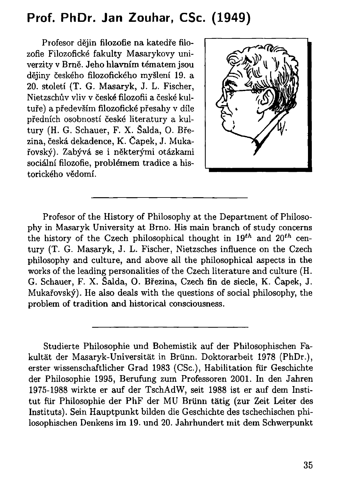## **Prof. PhDr. Jan Zouhar, CSc. (1949)**

Profesor dějin filozofie na katedře filozofie Filozofické fakulty Masarykovy univerzity v Brně. Jeho hlavním tématem jsou dějiny českého filozofického myšlení 19. a 20. století (T. G. Masaryk, J. L. Fischer, Nietzschův vliv v české filozofii a české kultuře) a především filozofické přesahy v díle předních osobností české literatury a kultury (H. G. Schauer, F. X. Šalda, O. Březina, česká dekadence, K . Čapek, J. Mukařovský). Zabývá se i některými otázkami sociální filozofie, problémem tradice a historického vědomí.



Profesor of the History of Philosophy at the Department of Philosophy in Masaryk University at Brno. His main branch of study concerns the history of the Czech philosophical thought in *19th* and *20th* century (T. G. Masaryk, J. L. Fischer, Nietzsches influence on the Czech philosophy and culture, and above all the philosophical aspects in the works of the leading personalities of the Czech literature and culture (H. G. Schauer, F. X. Šalda, O. Březina, Czech fin de siecle, K. Čapek, J. Mukařovský). He also deals with the questions of social philosophy, the problem of tradition and historical consciousness.

Studierte Philosophie und Bohemistik auf der Philosophischen Fakultät der Masaryk-Universität in Brünn. Doktorarbeit 1978 (PhDr.), erster wissenschaftlicher Grad 1983 (CSc), Habilitation für Geschichte der Philosophie 1995, Berufung zum Professoren 2001. In den Jahren 1975-1988 wirkte er auf der TschAdW, seit 1988 ist er auf dem Institut für Philosophie der PhF der MU Brünn tätig (zur Zeit Leiter des Instituts). Sein Hauptpunkt bilden die Geschichte des tschechischen philosophischen Denkens im 19. und 20. Jahrhundert mit dem Schwerpunkt